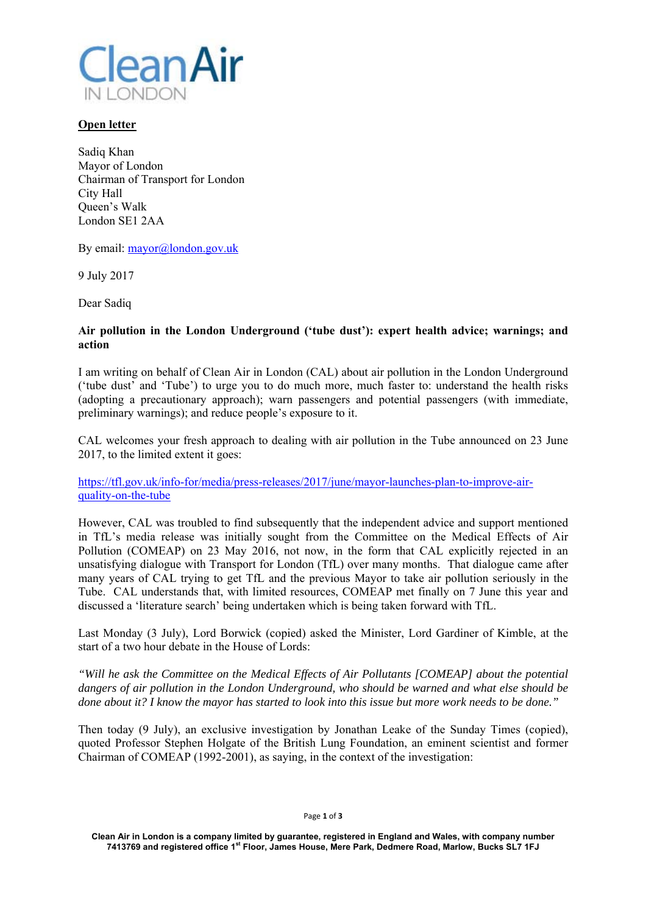

# **Open letter**

Sadiq Khan Mayor of London Chairman of Transport for London City Hall Queen's Walk London SE1 2AA

By email: mayor@london.gov.uk

9 July 2017

Dear Sadiq

### **Air pollution in the London Underground ('tube dust'): expert health advice; warnings; and action**

I am writing on behalf of Clean Air in London (CAL) about air pollution in the London Underground ('tube dust' and 'Tube') to urge you to do much more, much faster to: understand the health risks (adopting a precautionary approach); warn passengers and potential passengers (with immediate, preliminary warnings); and reduce people's exposure to it.

CAL welcomes your fresh approach to dealing with air pollution in the Tube announced on 23 June 2017, to the limited extent it goes:

https://tfl.gov.uk/info-for/media/press-releases/2017/june/mayor-launches-plan-to-improve-airquality-on-the-tube

However, CAL was troubled to find subsequently that the independent advice and support mentioned in TfL's media release was initially sought from the Committee on the Medical Effects of Air Pollution (COMEAP) on 23 May 2016, not now, in the form that CAL explicitly rejected in an unsatisfying dialogue with Transport for London (TfL) over many months. That dialogue came after many years of CAL trying to get TfL and the previous Mayor to take air pollution seriously in the Tube. CAL understands that, with limited resources, COMEAP met finally on 7 June this year and discussed a 'literature search' being undertaken which is being taken forward with TfL.

Last Monday (3 July), Lord Borwick (copied) asked the Minister, Lord Gardiner of Kimble, at the start of a two hour debate in the House of Lords:

*"Will he ask the Committee on the Medical Effects of Air Pollutants [COMEAP] about the potential dangers of air pollution in the London Underground, who should be warned and what else should be done about it? I know the mayor has started to look into this issue but more work needs to be done."* 

Then today (9 July), an exclusive investigation by Jonathan Leake of the Sunday Times (copied), quoted Professor Stephen Holgate of the British Lung Foundation, an eminent scientist and former Chairman of COMEAP (1992-2001), as saying, in the context of the investigation:

Page **1** of **3** 

**Clean Air in London is a company limited by guarantee, registered in England and Wales, with company number 7413769 and registered office 1st Floor, James House, Mere Park, Dedmere Road, Marlow, Bucks SL7 1FJ**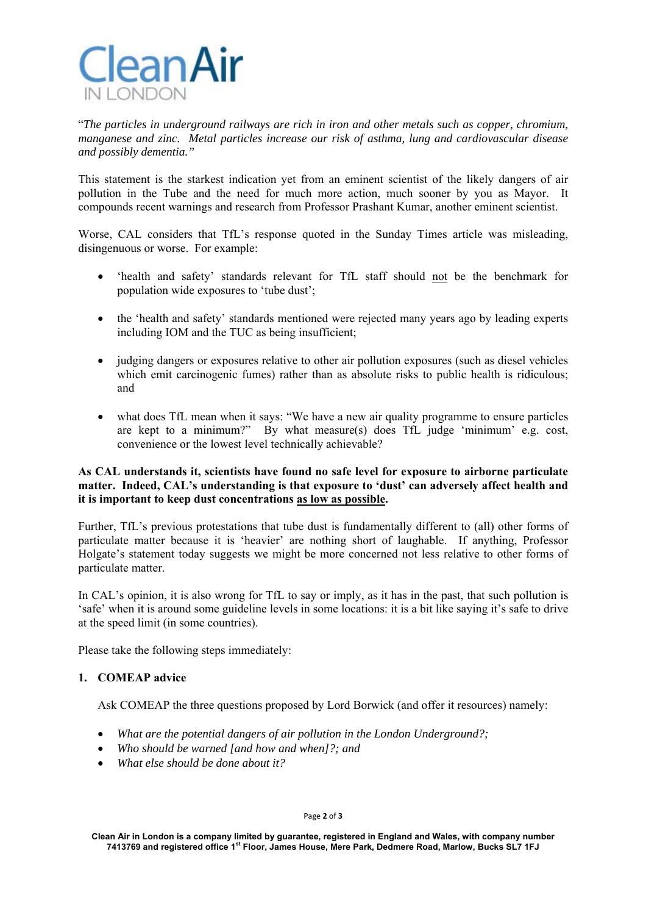

"*The particles in underground railways are rich in iron and other metals such as copper, chromium, manganese and zinc. Metal particles increase our risk of asthma, lung and cardiovascular disease and possibly dementia."* 

This statement is the starkest indication yet from an eminent scientist of the likely dangers of air pollution in the Tube and the need for much more action, much sooner by you as Mayor. It compounds recent warnings and research from Professor Prashant Kumar, another eminent scientist.

Worse, CAL considers that TfL's response quoted in the Sunday Times article was misleading, disingenuous or worse. For example:

- 'health and safety' standards relevant for TfL staff should not be the benchmark for population wide exposures to 'tube dust';
- the 'health and safety' standards mentioned were rejected many years ago by leading experts including IOM and the TUC as being insufficient;
- judging dangers or exposures relative to other air pollution exposures (such as diesel vehicles which emit carcinogenic fumes) rather than as absolute risks to public health is ridiculous; and
- what does TfL mean when it says: "We have a new air quality programme to ensure particles are kept to a minimum?" By what measure(s) does TfL judge 'minimum' e.g. cost, convenience or the lowest level technically achievable?

### **As CAL understands it, scientists have found no safe level for exposure to airborne particulate matter. Indeed, CAL's understanding is that exposure to 'dust' can adversely affect health and it is important to keep dust concentrations as low as possible.**

Further, TfL's previous protestations that tube dust is fundamentally different to (all) other forms of particulate matter because it is 'heavier' are nothing short of laughable. If anything, Professor Holgate's statement today suggests we might be more concerned not less relative to other forms of particulate matter.

In CAL's opinion, it is also wrong for TfL to say or imply, as it has in the past, that such pollution is 'safe' when it is around some guideline levels in some locations: it is a bit like saying it's safe to drive at the speed limit (in some countries).

Please take the following steps immediately:

### **1. COMEAP advice**

Ask COMEAP the three questions proposed by Lord Borwick (and offer it resources) namely:

- *What are the potential dangers of air pollution in the London Underground?;*
- *Who should be warned [and how and when]?; and*
- *What else should be done about it?*

#### Page **2** of **3**

**Clean Air in London is a company limited by guarantee, registered in England and Wales, with company number 7413769 and registered office 1st Floor, James House, Mere Park, Dedmere Road, Marlow, Bucks SL7 1FJ**